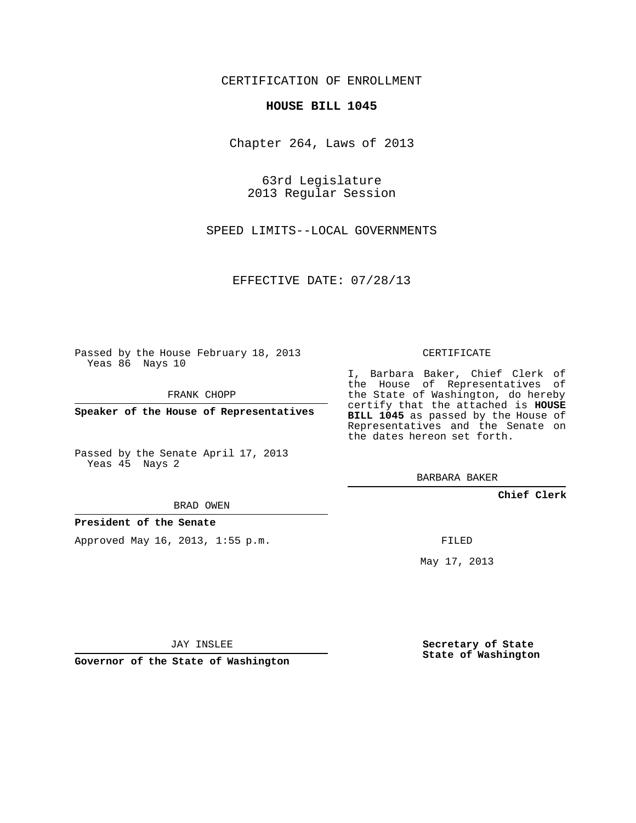CERTIFICATION OF ENROLLMENT

## **HOUSE BILL 1045**

Chapter 264, Laws of 2013

63rd Legislature 2013 Regular Session

SPEED LIMITS--LOCAL GOVERNMENTS

EFFECTIVE DATE: 07/28/13

Passed by the House February 18, 2013 Yeas 86 Nays 10

FRANK CHOPP

**Speaker of the House of Representatives**

Passed by the Senate April 17, 2013 Yeas 45 Nays 2

BRAD OWEN

**President of the Senate**

Approved May 16, 2013, 1:55 p.m.

CERTIFICATE

I, Barbara Baker, Chief Clerk of the House of Representatives of the State of Washington, do hereby certify that the attached is **HOUSE BILL 1045** as passed by the House of Representatives and the Senate on the dates hereon set forth.

BARBARA BAKER

**Chief Clerk**

FILED

May 17, 2013

**Secretary of State State of Washington**

JAY INSLEE

**Governor of the State of Washington**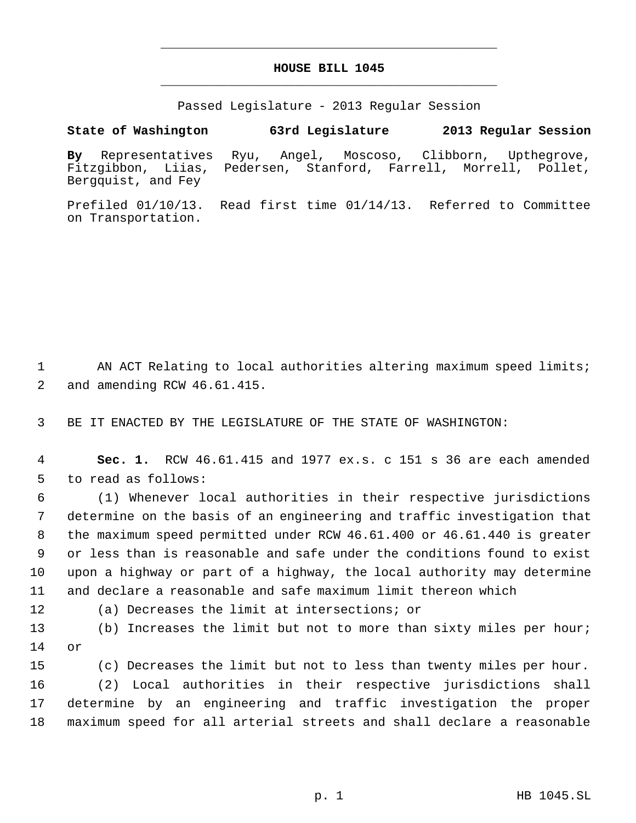## **HOUSE BILL 1045** \_\_\_\_\_\_\_\_\_\_\_\_\_\_\_\_\_\_\_\_\_\_\_\_\_\_\_\_\_\_\_\_\_\_\_\_\_\_\_\_\_\_\_\_\_

\_\_\_\_\_\_\_\_\_\_\_\_\_\_\_\_\_\_\_\_\_\_\_\_\_\_\_\_\_\_\_\_\_\_\_\_\_\_\_\_\_\_\_\_\_

Passed Legislature - 2013 Regular Session

**State of Washington 63rd Legislature 2013 Regular Session**

**By** Representatives Ryu, Angel, Moscoso, Clibborn, Upthegrove, Fitzgibbon, Liias, Pedersen, Stanford, Farrell, Morrell, Pollet, Bergquist, and Fey

Prefiled 01/10/13. Read first time 01/14/13. Referred to Committee on Transportation.

1 AN ACT Relating to local authorities altering maximum speed limits; 2 and amending RCW 46.61.415.

3 BE IT ENACTED BY THE LEGISLATURE OF THE STATE OF WASHINGTON:

 4 **Sec. 1.** RCW 46.61.415 and 1977 ex.s. c 151 s 36 are each amended 5 to read as follows:

 (1) Whenever local authorities in their respective jurisdictions determine on the basis of an engineering and traffic investigation that the maximum speed permitted under RCW 46.61.400 or 46.61.440 is greater or less than is reasonable and safe under the conditions found to exist upon a highway or part of a highway, the local authority may determine and declare a reasonable and safe maximum limit thereon which

12 (a) Decreases the limit at intersections; or

13 (b) Increases the limit but not to more than sixty miles per hour; 14 or

15 (c) Decreases the limit but not to less than twenty miles per hour.

16 (2) Local authorities in their respective jurisdictions shall 17 determine by an engineering and traffic investigation the proper 18 maximum speed for all arterial streets and shall declare a reasonable